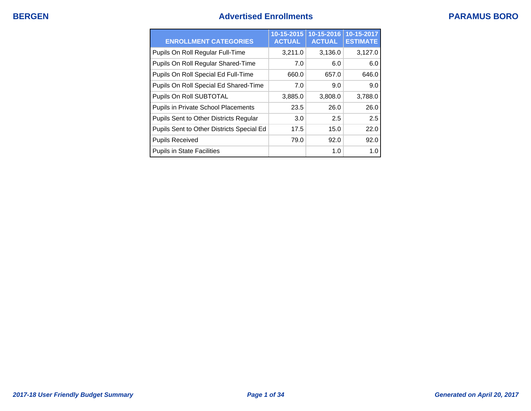## **BERGEN Advertised Enrollments PARAMUS BORO**

| <b>ENROLLMENT CATEGORIES</b>              | $10 - 15 - 2015$<br><b>ACTUAL</b> | 10-15-2016<br><b>ACTUAL</b> | 10-15-2017<br><b>ESTIMATE</b> |
|-------------------------------------------|-----------------------------------|-----------------------------|-------------------------------|
| Pupils On Roll Regular Full-Time          | 3,211.0                           | 3,136.0                     | 3,127.0                       |
| Pupils On Roll Regular Shared-Time        | 7.0                               | 6.0                         | 6.0                           |
| Pupils On Roll Special Ed Full-Time       | 660.0                             | 657.0                       | 646.0                         |
| Pupils On Roll Special Ed Shared-Time     | 7.0                               | 9.0                         | 9.0                           |
| Pupils On Roll SUBTOTAL                   | 3,885.0                           | 3,808.0                     | 3,788.0                       |
| Pupils in Private School Placements       | 23.5                              | 26.0                        | 26.0                          |
| Pupils Sent to Other Districts Regular    | 3.0                               | 2.5                         | 2.5                           |
| Pupils Sent to Other Districts Special Ed | 17.5                              | 15.0                        | 22.0                          |
| <b>Pupils Received</b>                    | 79.0                              | 92.0                        | 92.0                          |
| <b>Pupils in State Facilities</b>         |                                   | 1.0                         | 1.0                           |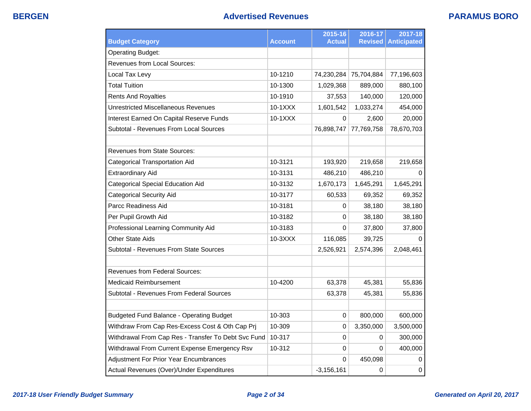| <b>Budget Category</b>                              | <b>Account</b> | 2015-16<br><b>Actual</b> | 2016-17<br><b>Revised</b> | 2017-18<br><b>Anticipated</b> |
|-----------------------------------------------------|----------------|--------------------------|---------------------------|-------------------------------|
| <b>Operating Budget:</b>                            |                |                          |                           |                               |
| <b>Revenues from Local Sources:</b>                 |                |                          |                           |                               |
| Local Tax Levy                                      | 10-1210        | 74,230,284               | 75,704,884                | 77,196,603                    |
| <b>Total Tuition</b>                                | 10-1300        | 1,029,368                | 889,000                   | 880,100                       |
| <b>Rents And Royalties</b>                          | 10-1910        | 37,553                   | 140,000                   | 120,000                       |
| <b>Unrestricted Miscellaneous Revenues</b>          | 10-1XXX        | 1,601,542                | 1,033,274                 | 454,000                       |
| Interest Earned On Capital Reserve Funds            | 10-1XXX        | $\Omega$                 | 2,600                     | 20,000                        |
| Subtotal - Revenues From Local Sources              |                | 76,898,747               | 77,769,758                | 78,670,703                    |
|                                                     |                |                          |                           |                               |
| Revenues from State Sources:                        |                |                          |                           |                               |
| <b>Categorical Transportation Aid</b>               | 10-3121        | 193,920                  | 219,658                   | 219,658                       |
| <b>Extraordinary Aid</b>                            | 10-3131        | 486,210                  | 486,210                   |                               |
| <b>Categorical Special Education Aid</b>            | 10-3132        | 1,670,173                | 1,645,291                 | 1,645,291                     |
| Categorical Security Aid                            | 10-3177        | 60,533                   | 69,352                    | 69,352                        |
| Parcc Readiness Aid                                 | 10-3181        | 0                        | 38,180                    | 38,180                        |
| Per Pupil Growth Aid                                | 10-3182        | 0                        | 38,180                    | 38,180                        |
| Professional Learning Community Aid                 | 10-3183        | $\Omega$                 | 37,800                    | 37,800                        |
| <b>Other State Aids</b>                             | 10-3XXX        | 116,085                  | 39,725                    | 0                             |
| Subtotal - Revenues From State Sources              |                | 2,526,921                | 2,574,396                 | 2,048,461                     |
| Revenues from Federal Sources:                      |                |                          |                           |                               |
| Medicaid Reimbursement                              | 10-4200        | 63,378                   | 45,381                    | 55,836                        |
| Subtotal - Revenues From Federal Sources            |                | 63,378                   | 45,381                    | 55,836                        |
|                                                     |                |                          |                           |                               |
| <b>Budgeted Fund Balance - Operating Budget</b>     | 10-303         | 0                        | 800,000                   | 600,000                       |
| Withdraw From Cap Res-Excess Cost & Oth Cap Prj     | 10-309         | 0                        | 3,350,000                 | 3,500,000                     |
| Withdrawal From Cap Res - Transfer To Debt Svc Fund | 10-317         | 0                        | 0                         | 300,000                       |
| Withdrawal From Current Expense Emergency Rsv       | 10-312         | 0                        | 0                         | 400,000                       |
| Adjustment For Prior Year Encumbrances              |                | 0                        | 450,098                   | 0                             |
| Actual Revenues (Over)/Under Expenditures           |                | $-3,156,161$             | $\mathbf 0$               | $\mathbf 0$                   |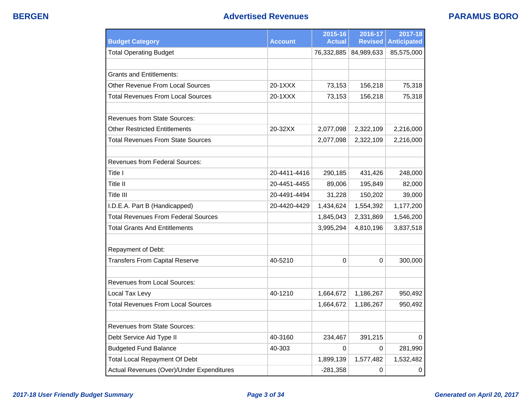## **BERGEN Advertised Revenues PARAMUS BORO**

| <b>Budget Category</b>                     | <b>Account</b> | 2015-16<br><b>Actual</b> | 2016-17<br><b>Revised</b> | 2017-18<br><b>Anticipated</b> |
|--------------------------------------------|----------------|--------------------------|---------------------------|-------------------------------|
| <b>Total Operating Budget</b>              |                |                          | 76,332,885 84,989,633     | 85,575,000                    |
|                                            |                |                          |                           |                               |
| <b>Grants and Entitlements:</b>            |                |                          |                           |                               |
| Other Revenue From Local Sources           | 20-1XXX        | 73,153                   | 156,218                   | 75,318                        |
| <b>Total Revenues From Local Sources</b>   | 20-1XXX        | 73,153                   | 156,218                   | 75,318                        |
|                                            |                |                          |                           |                               |
| <b>Revenues from State Sources:</b>        |                |                          |                           |                               |
| <b>Other Restricted Entitlements</b>       | 20-32XX        | 2,077,098                | 2,322,109                 | 2,216,000                     |
| Total Revenues From State Sources          |                | 2,077,098                | 2,322,109                 | 2,216,000                     |
|                                            |                |                          |                           |                               |
| <b>Revenues from Federal Sources:</b>      |                |                          |                           |                               |
| Title I                                    | 20-4411-4416   | 290,185                  | 431,426                   | 248,000                       |
| Title II                                   | 20-4451-4455   | 89,006                   | 195,849                   | 82,000                        |
| Title III                                  | 20-4491-4494   | 31,228                   | 150,202                   | 39,000                        |
| I.D.E.A. Part B (Handicapped)              | 20-4420-4429   | 1,434,624                | 1,554,392                 | 1,177,200                     |
| <b>Total Revenues From Federal Sources</b> |                | 1,845,043                | 2,331,869                 | 1,546,200                     |
| <b>Total Grants And Entitlements</b>       |                | 3,995,294                | 4,810,196                 | 3,837,518                     |
|                                            |                |                          |                           |                               |
| Repayment of Debt:                         |                |                          |                           |                               |
| <b>Transfers From Capital Reserve</b>      | 40-5210        | 0                        | 0                         | 300,000                       |
|                                            |                |                          |                           |                               |
| Revenues from Local Sources:               |                |                          |                           |                               |
| Local Tax Levy                             | 40-1210        | 1,664,672                | 1,186,267                 | 950,492                       |
| <b>Total Revenues From Local Sources</b>   |                | 1,664,672                | 1,186,267                 | 950,492                       |
|                                            |                |                          |                           |                               |
| <b>Revenues from State Sources:</b>        |                |                          |                           |                               |
| Debt Service Aid Type II                   | 40-3160        | 234,467                  | 391,215                   | 0                             |
| <b>Budgeted Fund Balance</b>               | 40-303         | 0                        | $\Omega$                  | 281,990                       |
| <b>Total Local Repayment Of Debt</b>       |                | 1,899,139                | 1,577,482                 | 1,532,482                     |
| Actual Revenues (Over)/Under Expenditures  |                | $-281,358$               | 0                         | $\pmb{0}$                     |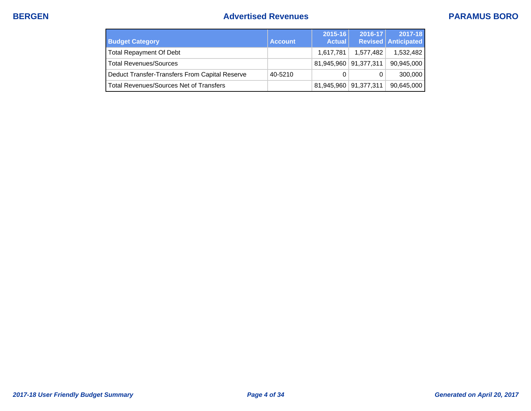## **BERGEN Advertised Revenues PARAMUS BORO**

| <b>Budget Category</b>                         | <b>Account</b> | $2015 - 16$<br><b>Actual</b> | $2016 - 17$ | 2017-18<br><b>Revised Anticipated</b> |
|------------------------------------------------|----------------|------------------------------|-------------|---------------------------------------|
| <b>Total Repayment Of Debt</b>                 |                | 1.617.781                    | 1.577.482   | 1,532,482                             |
| <b>Total Revenues/Sources</b>                  |                | 81,945,960 91,377,311        |             | 90,945,000                            |
| Deduct Transfer-Transfers From Capital Reserve | 40-5210        | 0                            |             | 300,000                               |
| <b>Total Revenues/Sources Net of Transfers</b> |                | 81,945,960 91,377,311        |             | 90,645,000                            |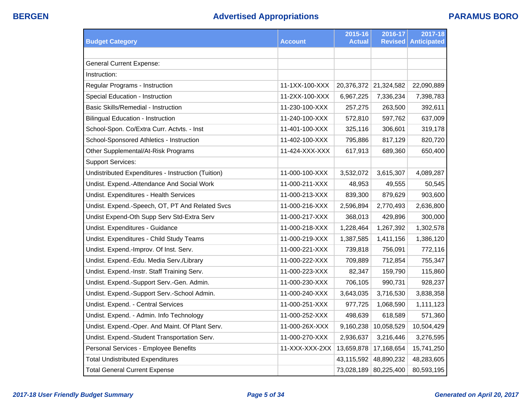| <b>Budget Category</b>                             | <b>Account</b> | 2015-16<br><b>Actual</b> | 2016-17<br><b>Revised</b> | 2017-18<br><b>Anticipated</b> |
|----------------------------------------------------|----------------|--------------------------|---------------------------|-------------------------------|
|                                                    |                |                          |                           |                               |
| <b>General Current Expense:</b>                    |                |                          |                           |                               |
| Instruction:                                       |                |                          |                           |                               |
| Regular Programs - Instruction                     | 11-1XX-100-XXX | 20,376,372               | 21,324,582                | 22,090,889                    |
| Special Education - Instruction                    | 11-2XX-100-XXX | 6,967,225                | 7,336,234                 | 7,398,783                     |
| Basic Skills/Remedial - Instruction                | 11-230-100-XXX | 257,275                  | 263,500                   | 392,611                       |
| <b>Bilingual Education - Instruction</b>           | 11-240-100-XXX | 572,810                  | 597,762                   | 637,009                       |
| School-Spon. Co/Extra Curr. Actvts. - Inst         | 11-401-100-XXX | 325,116                  | 306,601                   | 319,178                       |
| School-Sponsored Athletics - Instruction           | 11-402-100-XXX | 795,886                  | 817,129                   | 820,720                       |
| Other Supplemental/At-Risk Programs                | 11-424-XXX-XXX | 617,913                  | 689,360                   | 650,400                       |
| <b>Support Services:</b>                           |                |                          |                           |                               |
| Undistributed Expenditures - Instruction (Tuition) | 11-000-100-XXX | 3,532,072                | 3,615,307                 | 4,089,287                     |
| Undist. Expend.-Attendance And Social Work         | 11-000-211-XXX | 48,953                   | 49,555                    | 50,545                        |
| Undist. Expenditures - Health Services             | 11-000-213-XXX | 839,300                  | 879,629                   | 903,600                       |
| Undist. Expend.-Speech, OT, PT And Related Svcs    | 11-000-216-XXX | 2,596,894                | 2,770,493                 | 2,636,800                     |
| Undist Expend-Oth Supp Serv Std-Extra Serv         | 11-000-217-XXX | 368,013                  | 429,896                   | 300,000                       |
| Undist. Expenditures - Guidance                    | 11-000-218-XXX | 1,228,464                | 1,267,392                 | 1,302,578                     |
| Undist. Expenditures - Child Study Teams           | 11-000-219-XXX | 1,387,585                | 1,411,156                 | 1,386,120                     |
| Undist. Expend.-Improv. Of Inst. Serv.             | 11-000-221-XXX | 739,818                  | 756,091                   | 772,116                       |
| Undist. Expend.-Edu. Media Serv./Library           | 11-000-222-XXX | 709,889                  | 712,854                   | 755,347                       |
| Undist. Expend.-Instr. Staff Training Serv.        | 11-000-223-XXX | 82,347                   | 159,790                   | 115,860                       |
| Undist. Expend.-Support Serv.-Gen. Admin.          | 11-000-230-XXX | 706,105                  | 990,731                   | 928,237                       |
| Undist. Expend.-Support Serv.-School Admin.        | 11-000-240-XXX | 3,643,035                | 3,716,530                 | 3,838,358                     |
| Undist. Expend. - Central Services                 | 11-000-251-XXX | 977,725                  | 1,068,590                 | 1,111,123                     |
| Undist. Expend. - Admin. Info Technology           | 11-000-252-XXX | 498,639                  | 618,589                   | 571,360                       |
| Undist. Expend.-Oper. And Maint. Of Plant Serv.    | 11-000-26X-XXX | 9,160,238                | 10,058,529                | 10,504,429                    |
| Undist. Expend.-Student Transportation Serv.       | 11-000-270-XXX | 2,936,637                | 3,216,446                 | 3,276,595                     |
| Personal Services - Employee Benefits              | 11-XXX-XXX-2XX | 13,659,878               | 17,168,654                | 15,741,250                    |
| <b>Total Undistributed Expenditures</b>            |                | 43,115,592               | 48,890,232                | 48,283,605                    |
| <b>Total General Current Expense</b>               |                | 73,028,189               | 80,225,400                | 80,593,195                    |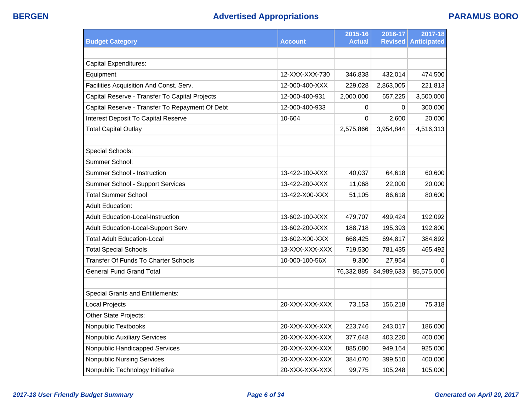| <b>Budget Category</b>                          | <b>Account</b> | 2015-16<br><b>Actual</b> | 2016-17<br><b>Revised</b> | 2017-18<br><b>Anticipated</b> |
|-------------------------------------------------|----------------|--------------------------|---------------------------|-------------------------------|
|                                                 |                |                          |                           |                               |
| <b>Capital Expenditures:</b>                    |                |                          |                           |                               |
| Equipment                                       | 12-XXX-XXX-730 | 346,838                  | 432,014                   | 474,500                       |
| Facilities Acquisition And Const. Serv.         | 12-000-400-XXX | 229,028                  | 2,863,005                 | 221,813                       |
| Capital Reserve - Transfer To Capital Projects  | 12-000-400-931 | 2,000,000                | 657,225                   | 3,500,000                     |
| Capital Reserve - Transfer To Repayment Of Debt | 12-000-400-933 | 0                        | 0                         | 300,000                       |
| Interest Deposit To Capital Reserve             | 10-604         | 0                        | 2,600                     | 20,000                        |
| <b>Total Capital Outlay</b>                     |                | 2,575,866                | 3,954,844                 | 4,516,313                     |
|                                                 |                |                          |                           |                               |
| Special Schools:                                |                |                          |                           |                               |
| Summer School:                                  |                |                          |                           |                               |
| Summer School - Instruction                     | 13-422-100-XXX | 40,037                   | 64,618                    | 60,600                        |
| Summer School - Support Services                | 13-422-200-XXX | 11,068                   | 22,000                    | 20,000                        |
| <b>Total Summer School</b>                      | 13-422-X00-XXX | 51,105                   | 86,618                    | 80,600                        |
| <b>Adult Education:</b>                         |                |                          |                           |                               |
| Adult Education-Local-Instruction               | 13-602-100-XXX | 479,707                  | 499,424                   | 192,092                       |
| Adult Education-Local-Support Serv.             | 13-602-200-XXX | 188,718                  | 195,393                   | 192,800                       |
| <b>Total Adult Education-Local</b>              | 13-602-X00-XXX | 668,425                  | 694,817                   | 384,892                       |
| <b>Total Special Schools</b>                    | 13-XXX-XXX-XXX | 719,530                  | 781,435                   | 465,492                       |
| <b>Transfer Of Funds To Charter Schools</b>     | 10-000-100-56X | 9,300                    | 27,954                    | $\mathbf 0$                   |
| <b>General Fund Grand Total</b>                 |                | 76,332,885               | 84,989,633                | 85,575,000                    |
|                                                 |                |                          |                           |                               |
| <b>Special Grants and Entitlements:</b>         |                |                          |                           |                               |
| <b>Local Projects</b>                           | 20-XXX-XXX-XXX | 73,153                   | 156,218                   | 75,318                        |
| Other State Projects:                           |                |                          |                           |                               |
| Nonpublic Textbooks                             | 20-XXX-XXX-XXX | 223,746                  | 243,017                   | 186,000                       |
| Nonpublic Auxiliary Services                    | 20-XXX-XXX-XXX | 377,648                  | 403,220                   | 400,000                       |
| Nonpublic Handicapped Services                  | 20-XXX-XXX-XXX | 885,080                  | 949,164                   | 925,000                       |
| <b>Nonpublic Nursing Services</b>               | 20-XXX-XXX-XXX | 384,070                  | 399,510                   | 400,000                       |
| Nonpublic Technology Initiative                 | 20-XXX-XXX-XXX | 99,775                   | 105,248                   | 105,000                       |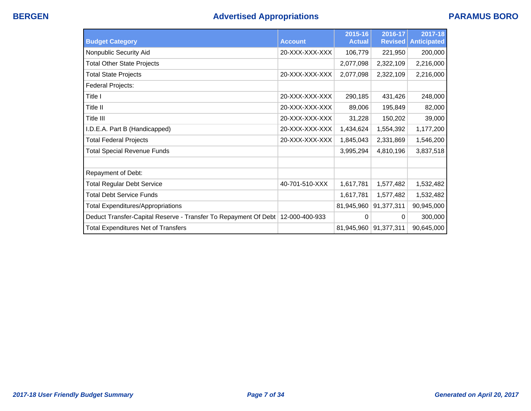| <b>Budget Category</b>                                                           | <b>Account</b> | 2015-16<br><b>Actual</b> | 2016-17<br><b>Revised</b> | 2017-18<br><b>Anticipated</b> |
|----------------------------------------------------------------------------------|----------------|--------------------------|---------------------------|-------------------------------|
| Nonpublic Security Aid                                                           | 20-XXX-XXX-XXX | 106,779                  | 221,950                   | 200,000                       |
| <b>Total Other State Projects</b>                                                |                | 2,077,098                | 2,322,109                 | 2,216,000                     |
| <b>Total State Projects</b>                                                      | 20-XXX-XXX-XXX | 2,077,098                | 2,322,109                 | 2,216,000                     |
| Federal Projects:                                                                |                |                          |                           |                               |
| Title I                                                                          | 20-XXX-XXX-XXX | 290,185                  | 431,426                   | 248,000                       |
| Title II                                                                         | 20-XXX-XXX-XXX | 89,006                   | 195,849                   | 82,000                        |
| Title III                                                                        | 20-XXX-XXX-XXX | 31,228                   | 150,202                   | 39,000                        |
| I.D.E.A. Part B (Handicapped)                                                    | 20-XXX-XXX-XXX | 1,434,624                | 1,554,392                 | 1,177,200                     |
| <b>Total Federal Projects</b>                                                    | 20-XXX-XXX-XXX | 1,845,043                | 2,331,869                 | 1,546,200                     |
| <b>Total Special Revenue Funds</b>                                               |                | 3,995,294                | 4,810,196                 | 3,837,518                     |
|                                                                                  |                |                          |                           |                               |
| Repayment of Debt:                                                               |                |                          |                           |                               |
| <b>Total Regular Debt Service</b>                                                | 40-701-510-XXX | 1,617,781                | 1,577,482                 | 1,532,482                     |
| <b>Total Debt Service Funds</b>                                                  |                | 1,617,781                | 1,577,482                 | 1,532,482                     |
| <b>Total Expenditures/Appropriations</b>                                         |                | 81,945,960               | 91,377,311                | 90,945,000                    |
| Deduct Transfer-Capital Reserve - Transfer To Repayment Of Debt   12-000-400-933 |                | 0                        | $\Omega$                  | 300,000                       |
| <b>Total Expenditures Net of Transfers</b>                                       |                | 81,945,960               | 91,377,311                | 90,645,000                    |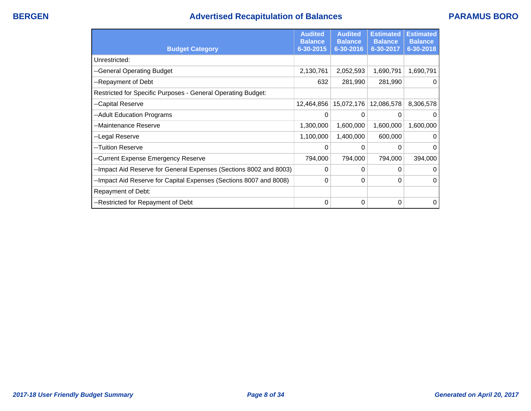# **BERGEN Advertised Recapitulation of Balances PARAMUS BORO**

|                                                                    | <b>Audited</b><br><b>Balance</b> | <b>Audited</b><br><b>Balance</b> | <b>Estimated</b><br><b>Balance</b> | <b>Estimated</b><br><b>Balance</b> |
|--------------------------------------------------------------------|----------------------------------|----------------------------------|------------------------------------|------------------------------------|
| <b>Budget Category</b>                                             | 6-30-2015                        | 6-30-2016                        | 6-30-2017                          | 6-30-2018                          |
| Unrestricted:                                                      |                                  |                                  |                                    |                                    |
| --General Operating Budget                                         | 2,130,761                        | 2,052,593                        | 1,690,791                          | 1,690,791                          |
| --Repayment of Debt                                                | 632                              | 281,990                          | 281,990                            | $\mathbf 0$                        |
| Restricted for Specific Purposes - General Operating Budget:       |                                  |                                  |                                    |                                    |
| --Capital Reserve                                                  | 12,464,856                       | 15,072,176                       | 12,086,578                         | 8,306,578                          |
| --Adult Education Programs                                         | 0                                | 0                                | $\Omega$                           | 0                                  |
| --Maintenance Reserve                                              | 1,300,000                        | 1,600,000                        | 1,600,000                          | 1,600,000                          |
| --Legal Reserve                                                    | 1,100,000                        | 1,400,000                        | 600,000                            | $\Omega$                           |
| --Tuition Reserve                                                  | 0                                | 0                                | 0                                  | 0                                  |
| --Current Expense Emergency Reserve                                | 794,000                          | 794,000                          | 794,000                            | 394,000                            |
| --Impact Aid Reserve for General Expenses (Sections 8002 and 8003) | 0                                | 0                                | 0                                  | 0                                  |
| --Impact Aid Reserve for Capital Expenses (Sections 8007 and 8008) | 0                                | 0                                | 0                                  | $\Omega$                           |
| Repayment of Debt:                                                 |                                  |                                  |                                    |                                    |
| --Restricted for Repayment of Debt                                 | 0                                | 0                                | 0                                  | 0                                  |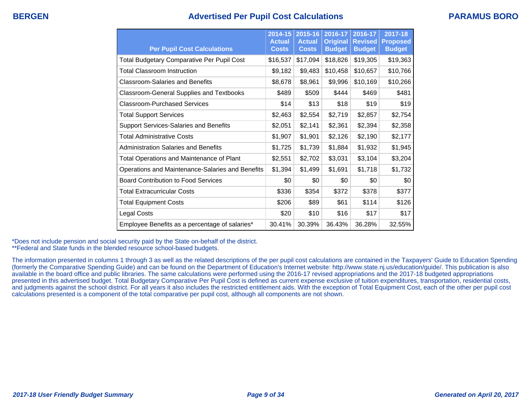## **BERGEN Advertised Per Pupil Cost Calculations PARAMUS BORO**

| <b>Per Pupil Cost Calculations</b>                | 2014-15<br><b>Actual</b><br><b>Costs</b> | 2015-16<br><b>Actual</b><br><b>Costs</b> | 2016-17<br><b>Original</b><br><b>Budget</b> | 2016-17<br><b>Revised</b><br><b>Budget</b> | $2017 - 18$<br><b>Proposed</b><br><b>Budget</b> |
|---------------------------------------------------|------------------------------------------|------------------------------------------|---------------------------------------------|--------------------------------------------|-------------------------------------------------|
| <b>Total Budgetary Comparative Per Pupil Cost</b> | \$16,537                                 | \$17,094                                 | \$18,826                                    | \$19,305                                   | \$19,363                                        |
| <b>Total Classroom Instruction</b>                | \$9,182                                  | \$9,483                                  | \$10,458                                    | \$10,657                                   | \$10,766                                        |
| <b>Classroom-Salaries and Benefits</b>            | \$8,678                                  | \$8,961                                  | \$9,996                                     | \$10,169                                   | \$10,266                                        |
| <b>Classroom-General Supplies and Textbooks</b>   | \$489                                    | \$509                                    | \$444                                       | \$469                                      | \$481                                           |
| Classroom-Purchased Services                      | \$14                                     | \$13                                     | \$18                                        | \$19                                       | \$19                                            |
| <b>Total Support Services</b>                     | \$2,463                                  | \$2,554                                  | \$2,719                                     | \$2,857                                    | \$2,754                                         |
| Support Services-Salaries and Benefits            | \$2,051                                  | \$2,141                                  | \$2,361                                     | \$2,394                                    | \$2,358                                         |
| <b>Total Administrative Costs</b>                 | \$1,907                                  | \$1,901                                  | \$2,126                                     | \$2,190                                    | \$2,177                                         |
| Administration Salaries and Benefits              | \$1,725                                  | \$1,739                                  | \$1,884                                     | \$1,932                                    | \$1,945                                         |
| Total Operations and Maintenance of Plant         | \$2,551                                  | \$2,702                                  | \$3,031                                     | \$3,104                                    | \$3,204                                         |
| Operations and Maintenance-Salaries and Benefits  | \$1,394                                  | \$1,499                                  | \$1,691                                     | \$1,718                                    | \$1,732                                         |
| <b>Board Contribution to Food Services</b>        | \$0                                      | \$0                                      | \$0                                         | \$0                                        | \$0                                             |
| <b>Total Extracurricular Costs</b>                | \$336                                    | \$354                                    | \$372                                       | \$378                                      | \$377                                           |
| <b>Total Equipment Costs</b>                      | \$206                                    | \$89                                     | \$61                                        | \$114                                      | \$126                                           |
| Legal Costs                                       | \$20                                     | \$10                                     | \$16                                        | \$17                                       | \$17                                            |
| Employee Benefits as a percentage of salaries*    | 30.41%                                   | 30.39%                                   | 36.43%                                      | 36.28%                                     | 32.55%                                          |

\*Does not include pension and social security paid by the State on-behalf of the district.

\*\*Federal and State funds in the blended resource school-based budgets.

The information presented in columns 1 through 3 as well as the related descriptions of the per pupil cost calculations are contained in the Taxpayers' Guide to Education Spending (formerly the Comparative Spending Guide) and can be found on the Department of Education's Internet website: http://www.state.nj.us/education/guide/. This publication is also available in the board office and public libraries. The same calculations were performed using the 2016-17 revised appropriations and the 2017-18 budgeted appropriations presented in this advertised budget. Total Budgetary Comparative Per Pupil Cost is defined as current expense exclusive of tuition expenditures, transportation, residential costs, and judgments against the school district. For all years it also includes the restricted entitlement aids. With the exception of Total Equipment Cost, each of the other per pupil cost calculations presented is a component of the total comparative per pupil cost, although all components are not shown.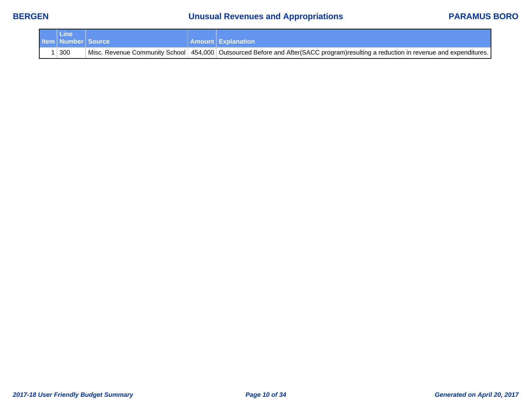# **BERGEN Unusual Revenues and Appropriations PARAMUS BORO**

| ∕ Line⊿                       |  |                                                                                                                                        |
|-------------------------------|--|----------------------------------------------------------------------------------------------------------------------------------------|
| <b>Item   Number   Source</b> |  | <b>Amount Explanation</b>                                                                                                              |
| 300                           |  | Misc. Revenue Community School   454,000   Outsourced Before and After(SACC program)resulting a reduction in revenue and expenditures. |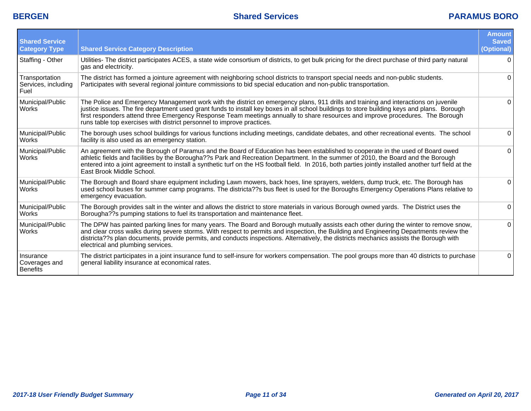| <b>Shared Service</b><br><b>Category Type</b> | <b>Shared Service Category Description</b>                                                                                                                                                                                                                                                                                                                                                                                                                                                     | <b>Amount</b><br><b>Saved</b><br>(Optional) |
|-----------------------------------------------|------------------------------------------------------------------------------------------------------------------------------------------------------------------------------------------------------------------------------------------------------------------------------------------------------------------------------------------------------------------------------------------------------------------------------------------------------------------------------------------------|---------------------------------------------|
| Staffing - Other                              | Utilities- The district participates ACES, a state wide consortium of districts, to get bulk pricing for the direct purchase of third party natural<br>gas and electricity.                                                                                                                                                                                                                                                                                                                    | $\Omega$                                    |
| Transportation<br>Services, including<br>Fuel | The district has formed a jointure agreement with neighboring school districts to transport special needs and non-public students.<br>Participates with several regional jointure commissions to bid special education and non-public transportation.                                                                                                                                                                                                                                          | 0                                           |
| Municipal/Public<br>Works                     | The Police and Emergency Management work with the district on emergency plans, 911 drills and training and interactions on juvenile<br>justice issues. The fire department used grant funds to install key boxes in all school buildings to store building keys and plans. Borough<br>first responders attend three Emergency Response Team meetings annually to share resources and improve procedures. The Borough<br>runs table top exercises with district personnel to improve practices. | $\Omega$                                    |
| Municipal/Public<br><b>Works</b>              | The borough uses school buildings for various functions including meetings, candidate debates, and other recreational events. The school<br>facility is also used as an emergency station.                                                                                                                                                                                                                                                                                                     | 0                                           |
| Municipal/Public<br><b>Works</b>              | An agreement with the Borough of Paramus and the Board of Education has been established to cooperate in the used of Board owed<br>athletic fields and facilities by the Borougha??s Park and Recreation Department. In the summer of 2010, the Board and the Borough<br>entered into a joint agreement to install a synthetic turf on the HS football field. In 2016, both parties jointly installed another turf field at the<br>East Brook Middle School.                                   | $\Omega$                                    |
| Municipal/Public<br>Works                     | The Borough and Board share equipment including Lawn mowers, back hoes, line sprayers, welders, dump truck, etc. The Borough has<br>used school buses for summer camp programs. The districta??s bus fleet is used for the Boroughs Emergency Operations Plans relative to<br>emergency evacuation.                                                                                                                                                                                            | $\Omega$                                    |
| Municipal/Public<br><b>Works</b>              | The Borough provides salt in the winter and allows the district to store materials in various Borough owned yards. The District uses the<br>Borougha?? Spumping stations to fuel its transportation and maintenance fleet.                                                                                                                                                                                                                                                                     | $\Omega$                                    |
| Municipal/Public<br><b>Works</b>              | The DPW has painted parking lines for many years. The Board and Borough mutually assists each other during the winter to remove snow,<br>and clear cross walks during severe storms. With respect to permits and inspection, the Building and Engineering Departments review the<br>districta??s plan documents, provide permits, and conducts inspections. Alternatively, the districts mechanics assists the Borough with<br>electrical and plumbing services.                               | $\Omega$                                    |
| Insurance<br>Coverages and<br>Benefits        | The district participates in a joint insurance fund to self-insure for workers compensation. The pool groups more than 40 districts to purchase<br>general liability insurance at economical rates.                                                                                                                                                                                                                                                                                            | $\Omega$                                    |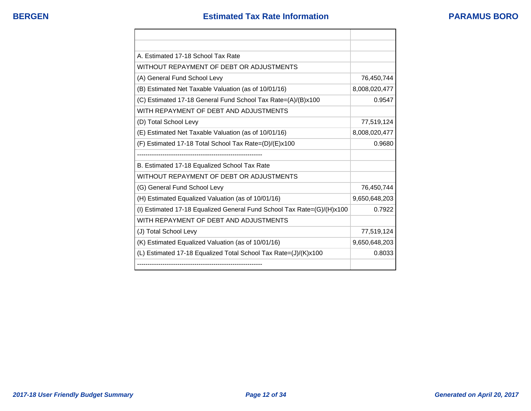| A. Estimated 17-18 School Tax Rate                                     |               |
|------------------------------------------------------------------------|---------------|
| WITHOUT REPAYMENT OF DEBT OR ADJUSTMENTS                               |               |
| (A) General Fund School Levy                                           | 76,450,744    |
| (B) Estimated Net Taxable Valuation (as of 10/01/16)                   | 8,008,020,477 |
| (C) Estimated 17-18 General Fund School Tax Rate=(A)/(B)x100           | 0.9547        |
| WITH REPAYMENT OF DEBT AND ADJUSTMENTS                                 |               |
| (D) Total School Levy                                                  | 77,519,124    |
| (E) Estimated Net Taxable Valuation (as of 10/01/16)                   | 8,008,020,477 |
| (F) Estimated 17-18 Total School Tax Rate=(D)/(E)x100                  | 0.9680        |
|                                                                        |               |
| B. Estimated 17-18 Equalized School Tax Rate                           |               |
| WITHOUT REPAYMENT OF DEBT OR ADJUSTMENTS                               |               |
| (G) General Fund School Levy                                           | 76,450,744    |
| (H) Estimated Equalized Valuation (as of 10/01/16)                     | 9,650,648,203 |
| (I) Estimated 17-18 Equalized General Fund School Tax Rate=(G)/(H)x100 | 0.7922        |
| WITH REPAYMENT OF DEBT AND ADJUSTMENTS                                 |               |
| (J) Total School Levy                                                  | 77,519,124    |
| (K) Estimated Equalized Valuation (as of 10/01/16)                     | 9,650,648,203 |
| (L) Estimated 17-18 Equalized Total School Tax Rate=(J)/(K)x100        | 0.8033        |
|                                                                        |               |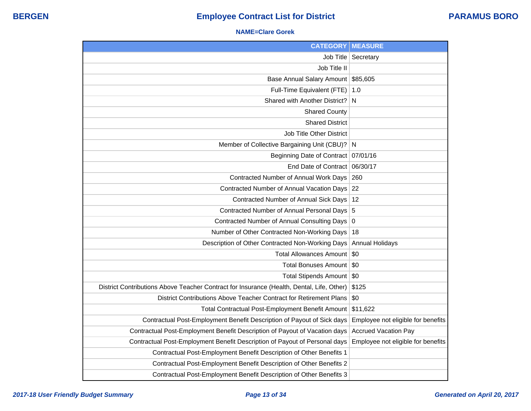## **NAME=Clare Gorek**

| <b>CATEGORY</b>                                                                           | <b>MEASURE</b>                     |
|-------------------------------------------------------------------------------------------|------------------------------------|
| Job Title                                                                                 | Secretary                          |
| Job Title II                                                                              |                                    |
| Base Annual Salary Amount                                                                 | \$85,605                           |
| Full-Time Equivalent (FTE)                                                                | 1.0                                |
| Shared with Another District?                                                             | N                                  |
| <b>Shared County</b>                                                                      |                                    |
| <b>Shared District</b>                                                                    |                                    |
| Job Title Other District                                                                  |                                    |
| Member of Collective Bargaining Unit (CBU)? N                                             |                                    |
| <b>Beginning Date of Contract</b>                                                         | 07/01/16                           |
| End Date of Contract                                                                      | 06/30/17                           |
| Contracted Number of Annual Work Days                                                     | 260                                |
| Contracted Number of Annual Vacation Days                                                 | 22                                 |
| Contracted Number of Annual Sick Days                                                     | 12                                 |
| Contracted Number of Annual Personal Days 5                                               |                                    |
| Contracted Number of Annual Consulting Days 0                                             |                                    |
| Number of Other Contracted Non-Working Days                                               | 18                                 |
| Description of Other Contracted Non-Working Days                                          | <b>Annual Holidays</b>             |
| <b>Total Allowances Amount</b>                                                            | \$0                                |
| <b>Total Bonuses Amount</b>                                                               | \$0                                |
| Total Stipends Amount   \$0                                                               |                                    |
| District Contributions Above Teacher Contract for Insurance (Health, Dental, Life, Other) | \$125                              |
| District Contributions Above Teacher Contract for Retirement Plans                        | \$0                                |
| Total Contractual Post-Employment Benefit Amount                                          | \$11,622                           |
| Contractual Post-Employment Benefit Description of Payout of Sick days                    | Employee not eligible for benefits |
| Contractual Post-Employment Benefit Description of Payout of Vacation days                | <b>Accrued Vacation Pay</b>        |
| Contractual Post-Employment Benefit Description of Payout of Personal days                | Employee not eligible for benefits |
| Contractual Post-Employment Benefit Description of Other Benefits 1                       |                                    |
| Contractual Post-Employment Benefit Description of Other Benefits 2                       |                                    |
| Contractual Post-Employment Benefit Description of Other Benefits 3                       |                                    |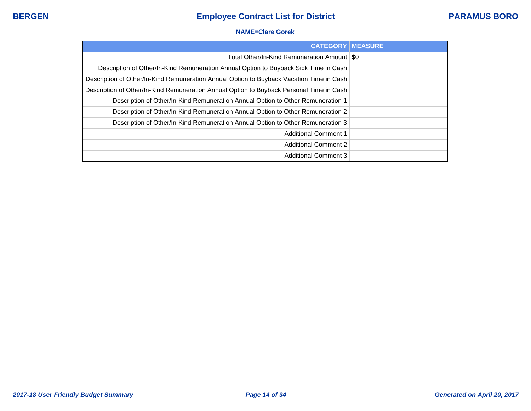## **NAME=Clare Gorek**

| <b>CATEGORY   MEASURE</b>                                                                |  |
|------------------------------------------------------------------------------------------|--|
| Total Other/In-Kind Remuneration Amount   \$0                                            |  |
| Description of Other/In-Kind Remuneration Annual Option to Buyback Sick Time in Cash     |  |
| Description of Other/In-Kind Remuneration Annual Option to Buyback Vacation Time in Cash |  |
| Description of Other/In-Kind Remuneration Annual Option to Buyback Personal Time in Cash |  |
| Description of Other/In-Kind Remuneration Annual Option to Other Remuneration 1          |  |
| Description of Other/In-Kind Remuneration Annual Option to Other Remuneration 2          |  |
| Description of Other/In-Kind Remuneration Annual Option to Other Remuneration 3          |  |
| <b>Additional Comment 1</b>                                                              |  |
| <b>Additional Comment 2</b>                                                              |  |
| <b>Additional Comment 3</b>                                                              |  |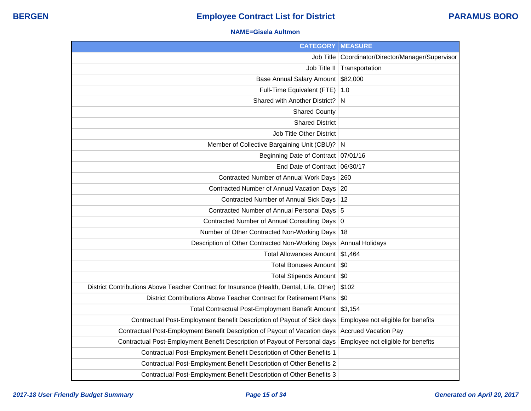#### **NAME=Gisela Aultmon**

| <b>CATEGORY</b>                                                                           | <b>MEASURE</b>                                      |
|-------------------------------------------------------------------------------------------|-----------------------------------------------------|
|                                                                                           | Job Title   Coordinator/Director/Manager/Supervisor |
|                                                                                           | Job Title II   Transportation                       |
| Base Annual Salary Amount                                                                 | \$82,000                                            |
| Full-Time Equivalent (FTE)                                                                | 1.0                                                 |
| Shared with Another District?                                                             | N                                                   |
| <b>Shared County</b>                                                                      |                                                     |
| <b>Shared District</b>                                                                    |                                                     |
| <b>Job Title Other District</b>                                                           |                                                     |
| Member of Collective Bargaining Unit (CBU)? N                                             |                                                     |
| Beginning Date of Contract   07/01/16                                                     |                                                     |
| End Date of Contract                                                                      | 06/30/17                                            |
| Contracted Number of Annual Work Days                                                     | 260                                                 |
| Contracted Number of Annual Vacation Days                                                 | 20                                                  |
| Contracted Number of Annual Sick Days                                                     | 12                                                  |
| Contracted Number of Annual Personal Days 5                                               |                                                     |
| Contracted Number of Annual Consulting Days 0                                             |                                                     |
| Number of Other Contracted Non-Working Days                                               | 18                                                  |
| Description of Other Contracted Non-Working Days                                          | <b>Annual Holidays</b>                              |
| Total Allowances Amount                                                                   | \$1,464                                             |
| <b>Total Bonuses Amount</b>                                                               | \$0                                                 |
| <b>Total Stipends Amount</b>                                                              | -\$0                                                |
| District Contributions Above Teacher Contract for Insurance (Health, Dental, Life, Other) | \$102                                               |
| District Contributions Above Teacher Contract for Retirement Plans                        | \$0                                                 |
| Total Contractual Post-Employment Benefit Amount                                          | \$3,154                                             |
| Contractual Post-Employment Benefit Description of Payout of Sick days                    | Employee not eligible for benefits                  |
| Contractual Post-Employment Benefit Description of Payout of Vacation days                | <b>Accrued Vacation Pay</b>                         |
| Contractual Post-Employment Benefit Description of Payout of Personal days                | Employee not eligible for benefits                  |
| Contractual Post-Employment Benefit Description of Other Benefits 1                       |                                                     |
| Contractual Post-Employment Benefit Description of Other Benefits 2                       |                                                     |
| Contractual Post-Employment Benefit Description of Other Benefits 3                       |                                                     |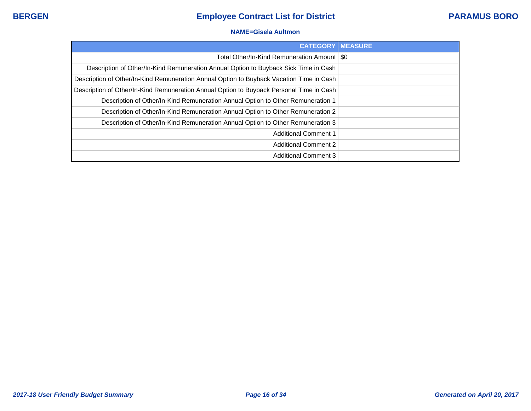## **NAME=Gisela Aultmon**

| <b>CATEGORY MEASURE</b>                                                                  |  |
|------------------------------------------------------------------------------------------|--|
| Total Other/In-Kind Remuneration Amount   \$0                                            |  |
| Description of Other/In-Kind Remuneration Annual Option to Buyback Sick Time in Cash     |  |
| Description of Other/In-Kind Remuneration Annual Option to Buyback Vacation Time in Cash |  |
| Description of Other/In-Kind Remuneration Annual Option to Buyback Personal Time in Cash |  |
| Description of Other/In-Kind Remuneration Annual Option to Other Remuneration 1          |  |
| Description of Other/In-Kind Remuneration Annual Option to Other Remuneration 2          |  |
| Description of Other/In-Kind Remuneration Annual Option to Other Remuneration 3          |  |
| <b>Additional Comment 1</b>                                                              |  |
| <b>Additional Comment 2</b>                                                              |  |
| <b>Additional Comment 3</b>                                                              |  |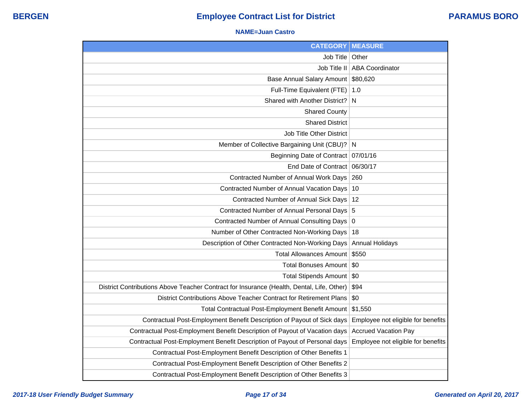#### **NAME=Juan Castro**

| <b>CATEGORY</b>                                                                           | <b>MEASURE</b>                     |
|-------------------------------------------------------------------------------------------|------------------------------------|
| Job Title                                                                                 | Other                              |
| Job Title II                                                                              | <b>ABA Coordinator</b>             |
| <b>Base Annual Salary Amount</b>                                                          | \$80,620                           |
| Full-Time Equivalent (FTE)                                                                | 1.0                                |
| Shared with Another District?                                                             | N                                  |
| <b>Shared County</b>                                                                      |                                    |
| <b>Shared District</b>                                                                    |                                    |
| <b>Job Title Other District</b>                                                           |                                    |
| Member of Collective Bargaining Unit (CBU)?                                               | N                                  |
| <b>Beginning Date of Contract</b>                                                         | 07/01/16                           |
| <b>End Date of Contract</b>                                                               | 06/30/17                           |
| Contracted Number of Annual Work Days                                                     | 260                                |
| Contracted Number of Annual Vacation Days                                                 | 10                                 |
| Contracted Number of Annual Sick Days                                                     | 12                                 |
| Contracted Number of Annual Personal Days                                                 | 5                                  |
| Contracted Number of Annual Consulting Days                                               | $\overline{0}$                     |
| Number of Other Contracted Non-Working Days                                               | 18                                 |
| Description of Other Contracted Non-Working Days                                          | <b>Annual Holidays</b>             |
| <b>Total Allowances Amount</b>                                                            | \$550                              |
| <b>Total Bonuses Amount</b>                                                               | \$0                                |
| <b>Total Stipends Amount</b>                                                              | \$0                                |
| District Contributions Above Teacher Contract for Insurance (Health, Dental, Life, Other) | \$94                               |
| District Contributions Above Teacher Contract for Retirement Plans                        | \$0                                |
| Total Contractual Post-Employment Benefit Amount                                          | \$1,550                            |
| Contractual Post-Employment Benefit Description of Payout of Sick days                    | Employee not eligible for benefits |
| Contractual Post-Employment Benefit Description of Payout of Vacation days                | <b>Accrued Vacation Pay</b>        |
| Contractual Post-Employment Benefit Description of Payout of Personal days                | Employee not eligible for benefits |
| Contractual Post-Employment Benefit Description of Other Benefits 1                       |                                    |
| Contractual Post-Employment Benefit Description of Other Benefits 2                       |                                    |
| Contractual Post-Employment Benefit Description of Other Benefits 3                       |                                    |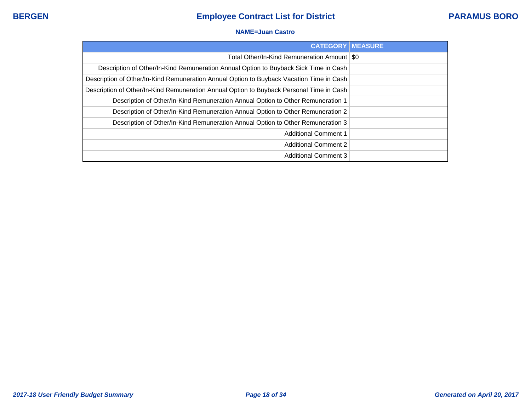### **NAME=Juan Castro**

| <b>CATEGORY   MEASURE</b>                                                                |  |
|------------------------------------------------------------------------------------------|--|
| Total Other/In-Kind Remuneration Amount   \$0                                            |  |
| Description of Other/In-Kind Remuneration Annual Option to Buyback Sick Time in Cash     |  |
| Description of Other/In-Kind Remuneration Annual Option to Buyback Vacation Time in Cash |  |
| Description of Other/In-Kind Remuneration Annual Option to Buyback Personal Time in Cash |  |
| Description of Other/In-Kind Remuneration Annual Option to Other Remuneration 1          |  |
| Description of Other/In-Kind Remuneration Annual Option to Other Remuneration 2          |  |
| Description of Other/In-Kind Remuneration Annual Option to Other Remuneration 3          |  |
| <b>Additional Comment 1</b>                                                              |  |
| <b>Additional Comment 2</b>                                                              |  |
| <b>Additional Comment 3</b>                                                              |  |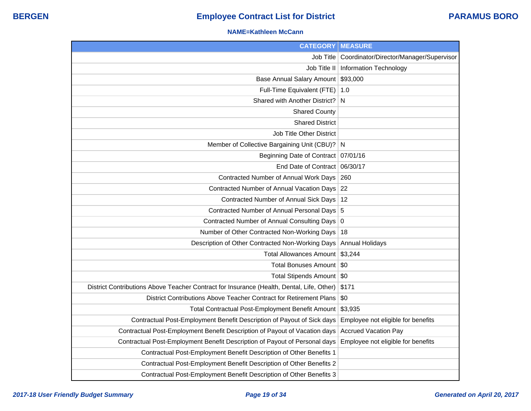## **NAME=Kathleen McCann**

| <b>CATEGORY</b>                                                                           | <b>MEASURE</b>                                      |
|-------------------------------------------------------------------------------------------|-----------------------------------------------------|
|                                                                                           | Job Title   Coordinator/Director/Manager/Supervisor |
|                                                                                           | Job Title II   Information Technology               |
| Base Annual Salary Amount                                                                 | \$93,000                                            |
| Full-Time Equivalent (FTE)   1.0                                                          |                                                     |
| Shared with Another District?                                                             | <sub>N</sub>                                        |
| <b>Shared County</b>                                                                      |                                                     |
| <b>Shared District</b>                                                                    |                                                     |
| <b>Job Title Other District</b>                                                           |                                                     |
| Member of Collective Bargaining Unit (CBU)? N                                             |                                                     |
| Beginning Date of Contract   07/01/16                                                     |                                                     |
| End Date of Contract 06/30/17                                                             |                                                     |
| Contracted Number of Annual Work Days                                                     | 260                                                 |
| Contracted Number of Annual Vacation Days 22                                              |                                                     |
| Contracted Number of Annual Sick Days                                                     | 12                                                  |
| Contracted Number of Annual Personal Days 5                                               |                                                     |
| Contracted Number of Annual Consulting Days 0                                             |                                                     |
| Number of Other Contracted Non-Working Days                                               | 18                                                  |
| Description of Other Contracted Non-Working Days                                          | <b>Annual Holidays</b>                              |
| Total Allowances Amount                                                                   | \$3,244                                             |
| <b>Total Bonuses Amount</b>                                                               | \$0                                                 |
| <b>Total Stipends Amount</b>                                                              | -\$0                                                |
| District Contributions Above Teacher Contract for Insurance (Health, Dental, Life, Other) | \$171                                               |
| District Contributions Above Teacher Contract for Retirement Plans                        | \$0                                                 |
| Total Contractual Post-Employment Benefit Amount                                          | \$3,935                                             |
| Contractual Post-Employment Benefit Description of Payout of Sick days                    | Employee not eligible for benefits                  |
| Contractual Post-Employment Benefit Description of Payout of Vacation days                | <b>Accrued Vacation Pay</b>                         |
| Contractual Post-Employment Benefit Description of Payout of Personal days                | Employee not eligible for benefits                  |
| Contractual Post-Employment Benefit Description of Other Benefits 1                       |                                                     |
| Contractual Post-Employment Benefit Description of Other Benefits 2                       |                                                     |
| Contractual Post-Employment Benefit Description of Other Benefits 3                       |                                                     |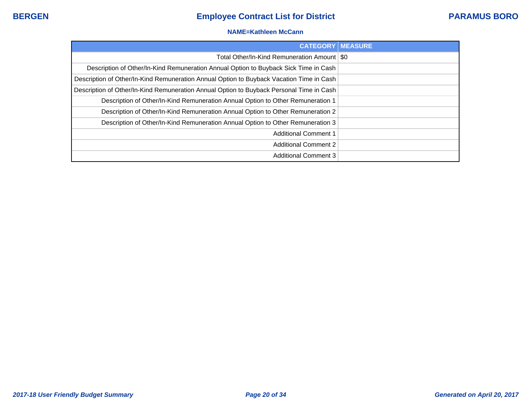### **NAME=Kathleen McCann**

| <b>CATEGORY   MEASURE</b>                                                                |  |
|------------------------------------------------------------------------------------------|--|
| Total Other/In-Kind Remuneration Amount   \$0                                            |  |
| Description of Other/In-Kind Remuneration Annual Option to Buyback Sick Time in Cash     |  |
| Description of Other/In-Kind Remuneration Annual Option to Buyback Vacation Time in Cash |  |
| Description of Other/In-Kind Remuneration Annual Option to Buyback Personal Time in Cash |  |
| Description of Other/In-Kind Remuneration Annual Option to Other Remuneration 1          |  |
| Description of Other/In-Kind Remuneration Annual Option to Other Remuneration 2          |  |
| Description of Other/In-Kind Remuneration Annual Option to Other Remuneration 3          |  |
| <b>Additional Comment 1</b>                                                              |  |
| <b>Additional Comment 2</b>                                                              |  |
| <b>Additional Comment 3</b>                                                              |  |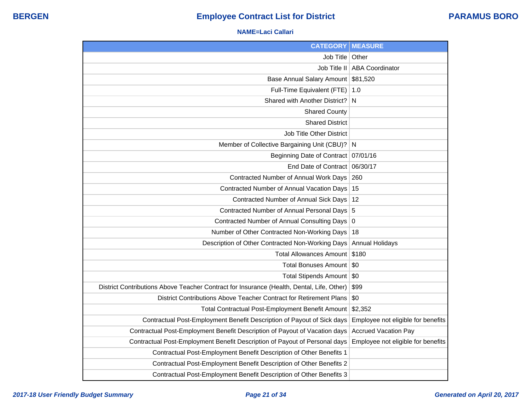## **NAME=Laci Callari**

| <b>CATEGORY</b>                                                                           | <b>MEASURE</b>                     |
|-------------------------------------------------------------------------------------------|------------------------------------|
| Job Title                                                                                 | Other                              |
| Job Title II                                                                              | <b>ABA Coordinator</b>             |
| <b>Base Annual Salary Amount</b>                                                          | \$81,520                           |
| Full-Time Equivalent (FTE)                                                                | 1.0                                |
| Shared with Another District?                                                             | N                                  |
| <b>Shared County</b>                                                                      |                                    |
| <b>Shared District</b>                                                                    |                                    |
| Job Title Other District                                                                  |                                    |
| Member of Collective Bargaining Unit (CBU)?                                               | N                                  |
| <b>Beginning Date of Contract</b>                                                         | 07/01/16                           |
| End Date of Contract                                                                      | 06/30/17                           |
| Contracted Number of Annual Work Days                                                     | 260                                |
| Contracted Number of Annual Vacation Days                                                 | 15                                 |
| Contracted Number of Annual Sick Days                                                     | 12                                 |
| Contracted Number of Annual Personal Days                                                 | 5                                  |
| Contracted Number of Annual Consulting Days                                               | $\mathbf 0$                        |
| Number of Other Contracted Non-Working Days                                               | 18                                 |
| Description of Other Contracted Non-Working Days                                          | <b>Annual Holidays</b>             |
| <b>Total Allowances Amount</b>                                                            | \$180                              |
| <b>Total Bonuses Amount</b>                                                               | \$0                                |
| Total Stipends Amount                                                                     | \$0                                |
| District Contributions Above Teacher Contract for Insurance (Health, Dental, Life, Other) | \$99                               |
| District Contributions Above Teacher Contract for Retirement Plans                        | \$0                                |
| Total Contractual Post-Employment Benefit Amount                                          | \$2,352                            |
| Contractual Post-Employment Benefit Description of Payout of Sick days                    | Employee not eligible for benefits |
| Contractual Post-Employment Benefit Description of Payout of Vacation days                | <b>Accrued Vacation Pay</b>        |
| Contractual Post-Employment Benefit Description of Payout of Personal days                | Employee not eligible for benefits |
| Contractual Post-Employment Benefit Description of Other Benefits 1                       |                                    |
| Contractual Post-Employment Benefit Description of Other Benefits 2                       |                                    |
| Contractual Post-Employment Benefit Description of Other Benefits 3                       |                                    |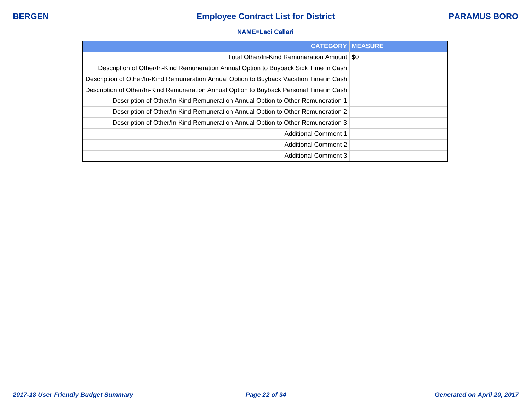## **NAME=Laci Callari**

| <b>CATEGORY</b>                                                                          | <b>IMEASURE</b> |
|------------------------------------------------------------------------------------------|-----------------|
| Total Other/In-Kind Remuneration Amount   \$0                                            |                 |
| Description of Other/In-Kind Remuneration Annual Option to Buyback Sick Time in Cash     |                 |
| Description of Other/In-Kind Remuneration Annual Option to Buyback Vacation Time in Cash |                 |
| Description of Other/In-Kind Remuneration Annual Option to Buyback Personal Time in Cash |                 |
| Description of Other/In-Kind Remuneration Annual Option to Other Remuneration 1          |                 |
| Description of Other/In-Kind Remuneration Annual Option to Other Remuneration 2          |                 |
| Description of Other/In-Kind Remuneration Annual Option to Other Remuneration 3          |                 |
| <b>Additional Comment 1</b>                                                              |                 |
| <b>Additional Comment 2</b>                                                              |                 |
| <b>Additional Comment 3</b>                                                              |                 |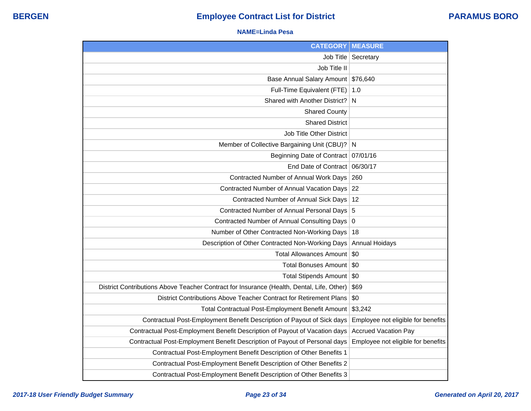## **NAME=Linda Pesa**

| <b>CATEGORY</b>                                                                           | <b>MEASURE</b>                     |
|-------------------------------------------------------------------------------------------|------------------------------------|
| Job Title                                                                                 | Secretary                          |
| Job Title II                                                                              |                                    |
| Base Annual Salary Amount \$76,640                                                        |                                    |
| Full-Time Equivalent (FTE)                                                                | 1.0                                |
| Shared with Another District?                                                             | N                                  |
| <b>Shared County</b>                                                                      |                                    |
| <b>Shared District</b>                                                                    |                                    |
| Job Title Other District                                                                  |                                    |
| Member of Collective Bargaining Unit (CBU)?                                               | N                                  |
| <b>Beginning Date of Contract</b>                                                         | 07/01/16                           |
| End Date of Contract                                                                      | 06/30/17                           |
| Contracted Number of Annual Work Days                                                     | 260                                |
| Contracted Number of Annual Vacation Days                                                 | 22                                 |
| Contracted Number of Annual Sick Days                                                     | 12                                 |
| Contracted Number of Annual Personal Days                                                 | 5                                  |
| Contracted Number of Annual Consulting Days                                               | $\mathbf 0$                        |
| Number of Other Contracted Non-Working Days                                               | 18                                 |
| Description of Other Contracted Non-Working Days                                          | Annual Hoidays                     |
| Total Allowances Amount                                                                   | \$0                                |
| <b>Total Bonuses Amount</b>                                                               | \$0                                |
| Total Stipends Amount                                                                     | \$0                                |
| District Contributions Above Teacher Contract for Insurance (Health, Dental, Life, Other) | \$69                               |
| District Contributions Above Teacher Contract for Retirement Plans                        | \$0                                |
| Total Contractual Post-Employment Benefit Amount                                          | \$3,242                            |
| Contractual Post-Employment Benefit Description of Payout of Sick days                    | Employee not eligible for benefits |
| Contractual Post-Employment Benefit Description of Payout of Vacation days                | <b>Accrued Vacation Pay</b>        |
| Contractual Post-Employment Benefit Description of Payout of Personal days                | Employee not eligible for benefits |
| Contractual Post-Employment Benefit Description of Other Benefits 1                       |                                    |
| Contractual Post-Employment Benefit Description of Other Benefits 2                       |                                    |
| Contractual Post-Employment Benefit Description of Other Benefits 3                       |                                    |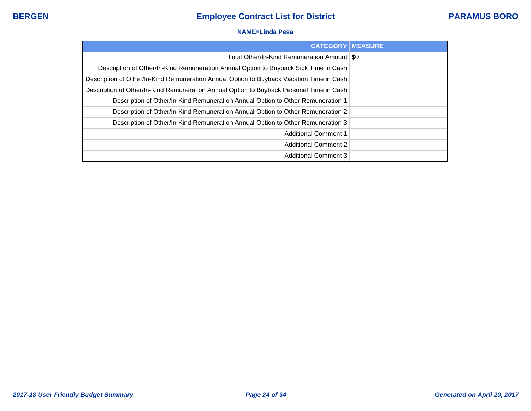## **NAME=Linda Pesa**

| <b>CATEGORY   MEASURE</b>                                                                |  |
|------------------------------------------------------------------------------------------|--|
| Total Other/In-Kind Remuneration Amount   \$0                                            |  |
| Description of Other/In-Kind Remuneration Annual Option to Buyback Sick Time in Cash     |  |
| Description of Other/In-Kind Remuneration Annual Option to Buyback Vacation Time in Cash |  |
| Description of Other/In-Kind Remuneration Annual Option to Buyback Personal Time in Cash |  |
| Description of Other/In-Kind Remuneration Annual Option to Other Remuneration 1          |  |
| Description of Other/In-Kind Remuneration Annual Option to Other Remuneration 2          |  |
| Description of Other/In-Kind Remuneration Annual Option to Other Remuneration 3          |  |
| <b>Additional Comment 1</b>                                                              |  |
| <b>Additional Comment 2</b>                                                              |  |
| <b>Additional Comment 3</b>                                                              |  |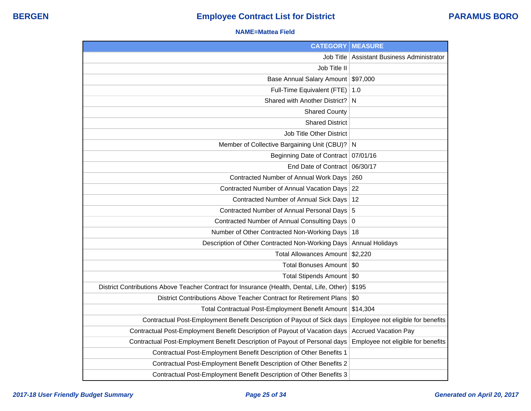#### **NAME=Mattea Field**

| <b>CATEGORY</b>                                                                           | <b>MEASURE</b>                     |
|-------------------------------------------------------------------------------------------|------------------------------------|
| Job Title                                                                                 | Assistant Business Administrator   |
| Job Title II                                                                              |                                    |
| Base Annual Salary Amount                                                                 | \$97,000                           |
| Full-Time Equivalent (FTE)                                                                | 1.0                                |
| Shared with Another District?                                                             | N                                  |
| <b>Shared County</b>                                                                      |                                    |
| <b>Shared District</b>                                                                    |                                    |
| Job Title Other District                                                                  |                                    |
| Member of Collective Bargaining Unit (CBU)?                                               | N                                  |
| <b>Beginning Date of Contract</b>                                                         | 07/01/16                           |
| End Date of Contract                                                                      | 06/30/17                           |
| Contracted Number of Annual Work Days                                                     | 260                                |
| Contracted Number of Annual Vacation Days                                                 | 22                                 |
| Contracted Number of Annual Sick Days                                                     | 12                                 |
| Contracted Number of Annual Personal Days 5                                               |                                    |
| Contracted Number of Annual Consulting Days 0                                             |                                    |
| Number of Other Contracted Non-Working Days                                               | 18                                 |
| Description of Other Contracted Non-Working Days                                          | <b>Annual Holidays</b>             |
| <b>Total Allowances Amount</b>                                                            | \$2,220                            |
| <b>Total Bonuses Amount</b>                                                               | \$0                                |
| Total Stipends Amount                                                                     | \$0                                |
| District Contributions Above Teacher Contract for Insurance (Health, Dental, Life, Other) | \$195                              |
| District Contributions Above Teacher Contract for Retirement Plans                        | \$0                                |
| Total Contractual Post-Employment Benefit Amount                                          | \$14,304                           |
| Contractual Post-Employment Benefit Description of Payout of Sick days                    | Employee not eligible for benefits |
| Contractual Post-Employment Benefit Description of Payout of Vacation days                | <b>Accrued Vacation Pay</b>        |
| Contractual Post-Employment Benefit Description of Payout of Personal days                | Employee not eligible for benefits |
| Contractual Post-Employment Benefit Description of Other Benefits 1                       |                                    |
| Contractual Post-Employment Benefit Description of Other Benefits 2                       |                                    |
| Contractual Post-Employment Benefit Description of Other Benefits 3                       |                                    |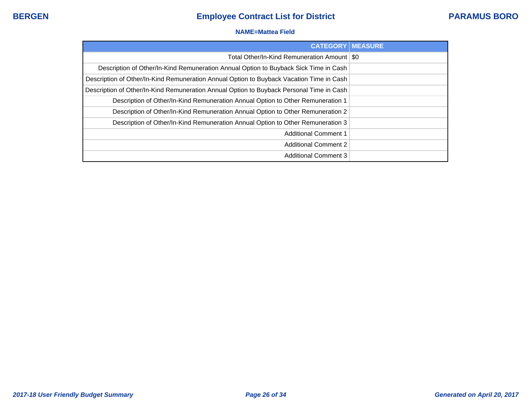### **NAME=Mattea Field**

| <b>CATEGORY   MEASURE</b>                                                                |  |
|------------------------------------------------------------------------------------------|--|
| Total Other/In-Kind Remuneration Amount   \$0                                            |  |
| Description of Other/In-Kind Remuneration Annual Option to Buyback Sick Time in Cash     |  |
| Description of Other/In-Kind Remuneration Annual Option to Buyback Vacation Time in Cash |  |
| Description of Other/In-Kind Remuneration Annual Option to Buyback Personal Time in Cash |  |
| Description of Other/In-Kind Remuneration Annual Option to Other Remuneration 1          |  |
| Description of Other/In-Kind Remuneration Annual Option to Other Remuneration 2          |  |
| Description of Other/In-Kind Remuneration Annual Option to Other Remuneration 3          |  |
| <b>Additional Comment 1</b>                                                              |  |
| <b>Additional Comment 2</b>                                                              |  |
| <b>Additional Comment 3</b>                                                              |  |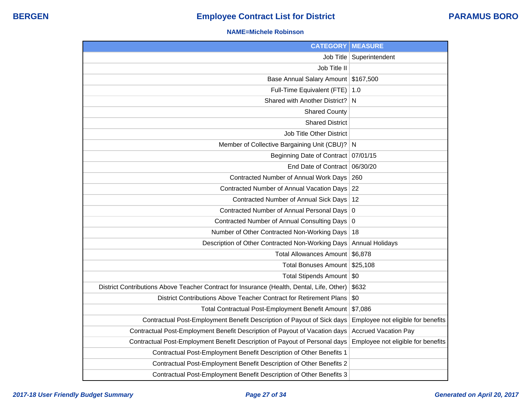#### **NAME=Michele Robinson**

| <b>CATEGORY</b>                                                                           | <b>MEASURE</b>                     |
|-------------------------------------------------------------------------------------------|------------------------------------|
| Job Title                                                                                 | Superintendent                     |
| Job Title II                                                                              |                                    |
| Base Annual Salary Amount \$167,500                                                       |                                    |
| Full-Time Equivalent (FTE)                                                                | 1.0                                |
| Shared with Another District?                                                             | N                                  |
| <b>Shared County</b>                                                                      |                                    |
| <b>Shared District</b>                                                                    |                                    |
| Job Title Other District                                                                  |                                    |
| Member of Collective Bargaining Unit (CBU)?                                               | N                                  |
| Beginning Date of Contract                                                                | 07/01/15                           |
| End Date of Contract                                                                      | 06/30/20                           |
| Contracted Number of Annual Work Days                                                     | 260                                |
| Contracted Number of Annual Vacation Days 22                                              |                                    |
| Contracted Number of Annual Sick Days                                                     | 12                                 |
| Contracted Number of Annual Personal Days                                                 | $\mathbf 0$                        |
| Contracted Number of Annual Consulting Days                                               | $\overline{0}$                     |
| Number of Other Contracted Non-Working Days                                               | 18                                 |
| Description of Other Contracted Non-Working Days                                          | <b>Annual Holidays</b>             |
| <b>Total Allowances Amount</b>                                                            | \$6,878                            |
| <b>Total Bonuses Amount</b>                                                               | \$25,108                           |
| <b>Total Stipends Amount</b>                                                              | $\sqrt{50}$                        |
| District Contributions Above Teacher Contract for Insurance (Health, Dental, Life, Other) | \$632                              |
| District Contributions Above Teacher Contract for Retirement Plans                        | \$0                                |
| Total Contractual Post-Employment Benefit Amount                                          | \$7,086                            |
| Contractual Post-Employment Benefit Description of Payout of Sick days                    | Employee not eligible for benefits |
| Contractual Post-Employment Benefit Description of Payout of Vacation days                | <b>Accrued Vacation Pay</b>        |
| Contractual Post-Employment Benefit Description of Payout of Personal days                | Employee not eligible for benefits |
| Contractual Post-Employment Benefit Description of Other Benefits 1                       |                                    |
| Contractual Post-Employment Benefit Description of Other Benefits 2                       |                                    |
| Contractual Post-Employment Benefit Description of Other Benefits 3                       |                                    |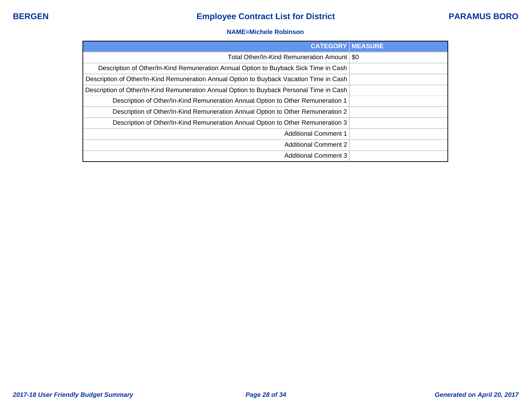#### **NAME=Michele Robinson**

| <b>CATEGORY   MEASURE</b>                                                                |  |
|------------------------------------------------------------------------------------------|--|
| Total Other/In-Kind Remuneration Amount   \$0                                            |  |
| Description of Other/In-Kind Remuneration Annual Option to Buyback Sick Time in Cash     |  |
| Description of Other/In-Kind Remuneration Annual Option to Buyback Vacation Time in Cash |  |
| Description of Other/In-Kind Remuneration Annual Option to Buyback Personal Time in Cash |  |
| Description of Other/In-Kind Remuneration Annual Option to Other Remuneration 1          |  |
| Description of Other/In-Kind Remuneration Annual Option to Other Remuneration 2          |  |
| Description of Other/In-Kind Remuneration Annual Option to Other Remuneration 3          |  |
| <b>Additional Comment 1</b>                                                              |  |
| <b>Additional Comment 2</b>                                                              |  |
| <b>Additional Comment 3</b>                                                              |  |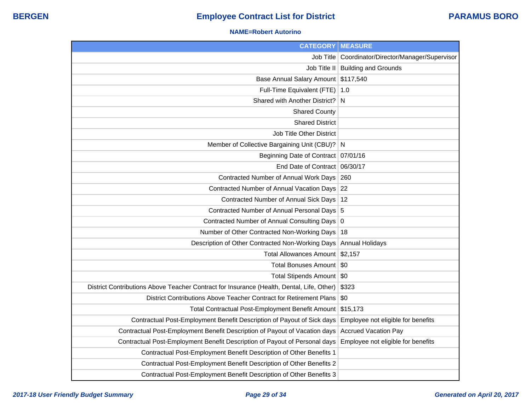#### **NAME=Robert Autorino**

| <b>CATEGORY</b>                                                                           | <b>MEASURE</b>                                      |
|-------------------------------------------------------------------------------------------|-----------------------------------------------------|
|                                                                                           | Job Title   Coordinator/Director/Manager/Supervisor |
|                                                                                           | Job Title II   Building and Grounds                 |
| Base Annual Salary Amount                                                                 | \$117,540                                           |
| Full-Time Equivalent (FTE)   1.0                                                          |                                                     |
| Shared with Another District? N                                                           |                                                     |
| <b>Shared County</b>                                                                      |                                                     |
| <b>Shared District</b>                                                                    |                                                     |
| <b>Job Title Other District</b>                                                           |                                                     |
| Member of Collective Bargaining Unit (CBU)? N                                             |                                                     |
| Beginning Date of Contract   07/01/16                                                     |                                                     |
| End Date of Contract 06/30/17                                                             |                                                     |
| Contracted Number of Annual Work Days                                                     | 260                                                 |
| Contracted Number of Annual Vacation Days 22                                              |                                                     |
| Contracted Number of Annual Sick Days                                                     | 12                                                  |
| Contracted Number of Annual Personal Days 5                                               |                                                     |
| Contracted Number of Annual Consulting Days   0                                           |                                                     |
| Number of Other Contracted Non-Working Days                                               | 18                                                  |
| Description of Other Contracted Non-Working Days                                          | <b>Annual Holidays</b>                              |
| Total Allowances Amount   \$2,157                                                         |                                                     |
| <b>Total Bonuses Amount</b>                                                               | \$0                                                 |
| Total Stipends Amount   \$0                                                               |                                                     |
| District Contributions Above Teacher Contract for Insurance (Health, Dental, Life, Other) | \$323                                               |
| District Contributions Above Teacher Contract for Retirement Plans                        | \$0                                                 |
| Total Contractual Post-Employment Benefit Amount                                          | \$15,173                                            |
| Contractual Post-Employment Benefit Description of Payout of Sick days                    | Employee not eligible for benefits                  |
| Contractual Post-Employment Benefit Description of Payout of Vacation days                | <b>Accrued Vacation Pay</b>                         |
| Contractual Post-Employment Benefit Description of Payout of Personal days                | Employee not eligible for benefits                  |
| Contractual Post-Employment Benefit Description of Other Benefits 1                       |                                                     |
| Contractual Post-Employment Benefit Description of Other Benefits 2                       |                                                     |
| Contractual Post-Employment Benefit Description of Other Benefits 3                       |                                                     |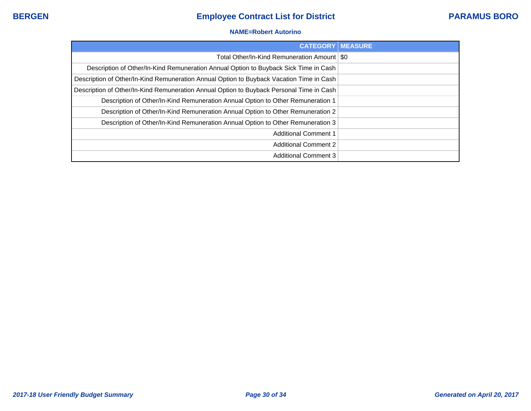### **NAME=Robert Autorino**

| <b>CATEGORY   MEASURE</b>                                                                |  |
|------------------------------------------------------------------------------------------|--|
| Total Other/In-Kind Remuneration Amount   \$0                                            |  |
| Description of Other/In-Kind Remuneration Annual Option to Buyback Sick Time in Cash     |  |
| Description of Other/In-Kind Remuneration Annual Option to Buyback Vacation Time in Cash |  |
| Description of Other/In-Kind Remuneration Annual Option to Buyback Personal Time in Cash |  |
| Description of Other/In-Kind Remuneration Annual Option to Other Remuneration 1          |  |
| Description of Other/In-Kind Remuneration Annual Option to Other Remuneration 2          |  |
| Description of Other/In-Kind Remuneration Annual Option to Other Remuneration 3          |  |
| <b>Additional Comment 1</b>                                                              |  |
| <b>Additional Comment 2</b>                                                              |  |
| <b>Additional Comment 3</b>                                                              |  |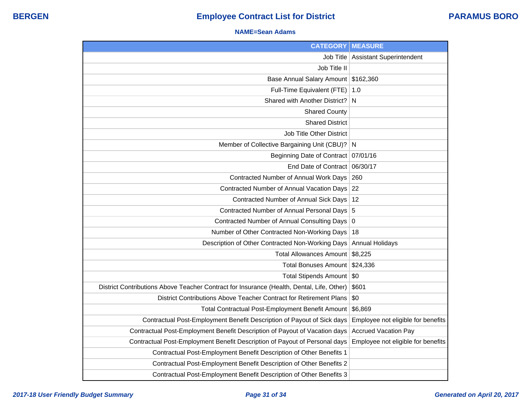## **NAME=Sean Adams**

| <b>CATEGORY</b>                                                                           | <b>MEASURE</b>                     |
|-------------------------------------------------------------------------------------------|------------------------------------|
| Job Title                                                                                 | <b>Assistant Superintendent</b>    |
| Job Title II                                                                              |                                    |
| Base Annual Salary Amount                                                                 | \$162,360                          |
| Full-Time Equivalent (FTE)                                                                | 1.0                                |
| Shared with Another District?                                                             | $\mathsf{N}$                       |
| <b>Shared County</b>                                                                      |                                    |
| <b>Shared District</b>                                                                    |                                    |
| Job Title Other District                                                                  |                                    |
| Member of Collective Bargaining Unit (CBU)?                                               | $\mathsf{N}$                       |
| Beginning Date of Contract                                                                | 07/01/16                           |
| End Date of Contract                                                                      | 06/30/17                           |
| Contracted Number of Annual Work Days                                                     | 260                                |
| Contracted Number of Annual Vacation Days                                                 | 22                                 |
| Contracted Number of Annual Sick Days                                                     | 12                                 |
| Contracted Number of Annual Personal Days 5                                               |                                    |
| Contracted Number of Annual Consulting Days 0                                             |                                    |
| Number of Other Contracted Non-Working Days                                               | 18                                 |
| Description of Other Contracted Non-Working Days                                          | <b>Annual Holidays</b>             |
| <b>Total Allowances Amount</b>                                                            | \$8,225                            |
| <b>Total Bonuses Amount</b>                                                               | \$24,336                           |
| Total Stipends Amount   \$0                                                               |                                    |
| District Contributions Above Teacher Contract for Insurance (Health, Dental, Life, Other) | \$601                              |
| District Contributions Above Teacher Contract for Retirement Plans                        | \$0                                |
| Total Contractual Post-Employment Benefit Amount                                          | \$6,869                            |
| Contractual Post-Employment Benefit Description of Payout of Sick days                    | Employee not eligible for benefits |
| Contractual Post-Employment Benefit Description of Payout of Vacation days                | <b>Accrued Vacation Pay</b>        |
| Contractual Post-Employment Benefit Description of Payout of Personal days                | Employee not eligible for benefits |
| Contractual Post-Employment Benefit Description of Other Benefits 1                       |                                    |
| Contractual Post-Employment Benefit Description of Other Benefits 2                       |                                    |
| Contractual Post-Employment Benefit Description of Other Benefits 3                       |                                    |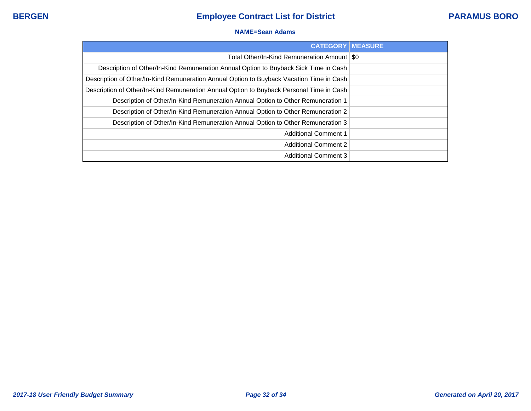## **NAME=Sean Adams**

| <b>CATEGORY   MEASURE</b>                                                                |  |
|------------------------------------------------------------------------------------------|--|
| Total Other/In-Kind Remuneration Amount   \$0                                            |  |
| Description of Other/In-Kind Remuneration Annual Option to Buyback Sick Time in Cash     |  |
| Description of Other/In-Kind Remuneration Annual Option to Buyback Vacation Time in Cash |  |
| Description of Other/In-Kind Remuneration Annual Option to Buyback Personal Time in Cash |  |
| Description of Other/In-Kind Remuneration Annual Option to Other Remuneration 1          |  |
| Description of Other/In-Kind Remuneration Annual Option to Other Remuneration 2          |  |
| Description of Other/In-Kind Remuneration Annual Option to Other Remuneration 3          |  |
| <b>Additional Comment 1</b>                                                              |  |
| <b>Additional Comment 2</b>                                                              |  |
| <b>Additional Comment 3</b>                                                              |  |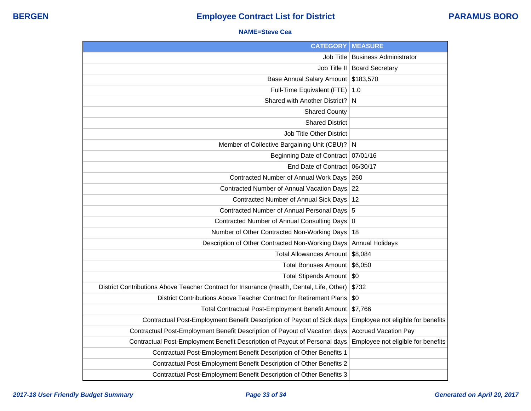### **NAME=Steve Cea**

| <b>CATEGORY</b>                                                                           | <b>MEASURE</b>                     |
|-------------------------------------------------------------------------------------------|------------------------------------|
| Job Title                                                                                 | <b>Business Administrator</b>      |
| Job Title II                                                                              | <b>Board Secretary</b>             |
| <b>Base Annual Salary Amount</b>                                                          | \$183,570                          |
| Full-Time Equivalent (FTE)                                                                | 1.0                                |
| Shared with Another District?                                                             | N                                  |
| <b>Shared County</b>                                                                      |                                    |
| <b>Shared District</b>                                                                    |                                    |
| <b>Job Title Other District</b>                                                           |                                    |
| Member of Collective Bargaining Unit (CBU)?                                               | N                                  |
| <b>Beginning Date of Contract</b>                                                         | 07/01/16                           |
| End Date of Contract 06/30/17                                                             |                                    |
| Contracted Number of Annual Work Days                                                     | 260                                |
| Contracted Number of Annual Vacation Days                                                 | 22                                 |
| Contracted Number of Annual Sick Days                                                     | 12                                 |
| Contracted Number of Annual Personal Days 5                                               |                                    |
| Contracted Number of Annual Consulting Days                                               | $\boldsymbol{0}$                   |
| Number of Other Contracted Non-Working Days                                               | 18                                 |
| Description of Other Contracted Non-Working Days                                          | <b>Annual Holidays</b>             |
| <b>Total Allowances Amount</b>                                                            | \$8,084                            |
| <b>Total Bonuses Amount</b>                                                               | \$6,050                            |
| Total Stipends Amount   \$0                                                               |                                    |
| District Contributions Above Teacher Contract for Insurance (Health, Dental, Life, Other) | \$732                              |
| District Contributions Above Teacher Contract for Retirement Plans                        | \$0                                |
| Total Contractual Post-Employment Benefit Amount                                          | \$7,766                            |
| Contractual Post-Employment Benefit Description of Payout of Sick days                    | Employee not eligible for benefits |
| Contractual Post-Employment Benefit Description of Payout of Vacation days                | <b>Accrued Vacation Pay</b>        |
| Contractual Post-Employment Benefit Description of Payout of Personal days                | Employee not eligible for benefits |
| Contractual Post-Employment Benefit Description of Other Benefits 1                       |                                    |
| Contractual Post-Employment Benefit Description of Other Benefits 2                       |                                    |
| Contractual Post-Employment Benefit Description of Other Benefits 3                       |                                    |